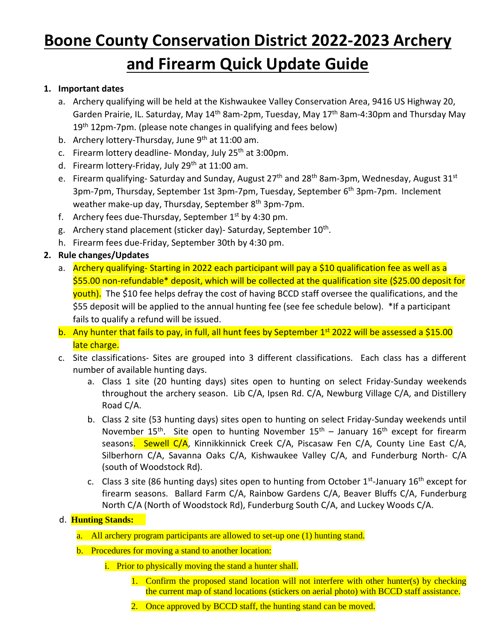## **Boone County Conservation District 2022-2023 Archery and Firearm Quick Update Guide**

## **1. Important dates**

- a. Archery qualifying will be held at the Kishwaukee Valley Conservation Area, 9416 US Highway 20, Garden Prairie, IL. Saturday, May 14<sup>th</sup> 8am-2pm, Tuesday, May 17<sup>th</sup> 8am-4:30pm and Thursday May 19<sup>th</sup> 12pm-7pm. (please note changes in qualifying and fees below)
- b. Archery lottery-Thursday, June  $9<sup>th</sup>$  at 11:00 am.
- c. Firearm lottery deadline- Monday, July 25<sup>th</sup> at 3:00pm.
- d. Firearm lottery-Friday, July 29<sup>th</sup> at 11:00 am.
- e. Firearm qualifying-Saturday and Sunday, August 27<sup>th</sup> and 28<sup>th</sup> 8am-3pm, Wednesday, August 31<sup>st</sup> 3pm-7pm, Thursday, September 1st 3pm-7pm, Tuesday, September 6<sup>th</sup> 3pm-7pm. Inclement weather make-up day, Thursday, September 8<sup>th</sup> 3pm-7pm.
- f. Archery fees due-Thursday, September  $1<sup>st</sup>$  by 4:30 pm.
- g. Archery stand placement (sticker day)- Saturday, September 10<sup>th</sup>.
- h. Firearm fees due-Friday, September 30th by 4:30 pm.

## **2. Rule changes/Updates**

- a. Archery qualifying- Starting in 2022 each participant will pay a \$10 qualification fee as well as a \$55.00 non-refundable\* deposit, which will be collected at the qualification site (\$25.00 deposit for youth). The \$10 fee helps defray the cost of having BCCD staff oversee the qualifications, and the \$55 deposit will be applied to the annual hunting fee (see fee schedule below). \*If a participant fails to qualify a refund will be issued.
- b. Any hunter that fails to pay, in full, all hunt fees by September 1<sup>st</sup> 2022 will be assessed a \$15.00 late charge.
- c. Site classifications- Sites are grouped into 3 different classifications. Each class has a different number of available hunting days.
	- a. Class 1 site (20 hunting days) sites open to hunting on select Friday-Sunday weekends throughout the archery season. Lib C/A, Ipsen Rd. C/A, Newburg Village C/A, and Distillery Road C/A.
	- b. Class 2 site (53 hunting days) sites open to hunting on select Friday-Sunday weekends until November 15<sup>th</sup>. Site open to hunting November 15<sup>th</sup> – January 16<sup>th</sup> except for firearm seasons. Sewell C/A, Kinnikkinnick Creek C/A, Piscasaw Fen C/A, County Line East C/A, Silberhorn C/A, Savanna Oaks C/A, Kishwaukee Valley C/A, and Funderburg North- C/A (south of Woodstock Rd).
	- c. Class 3 site (86 hunting days) sites open to hunting from October 1<sup>st</sup>-January 16<sup>th</sup> except for firearm seasons. Ballard Farm C/A, Rainbow Gardens C/A, Beaver Bluffs C/A, Funderburg North C/A (North of Woodstock Rd), Funderburg South C/A, and Luckey Woods C/A.

## d. **Hunting Stands:**

a. All archery program participants are allowed to set-up one (1) hunting stand.

- b. Procedures for moving a stand to another location:
	- i. Prior to physically moving the stand a hunter shall.
		- 1. Confirm the proposed stand location will not interfere with other hunter(s) by checking the current map of stand locations (stickers on aerial photo) with BCCD staff assistance.
		- 2. Once approved by BCCD staff, the hunting stand can be moved.